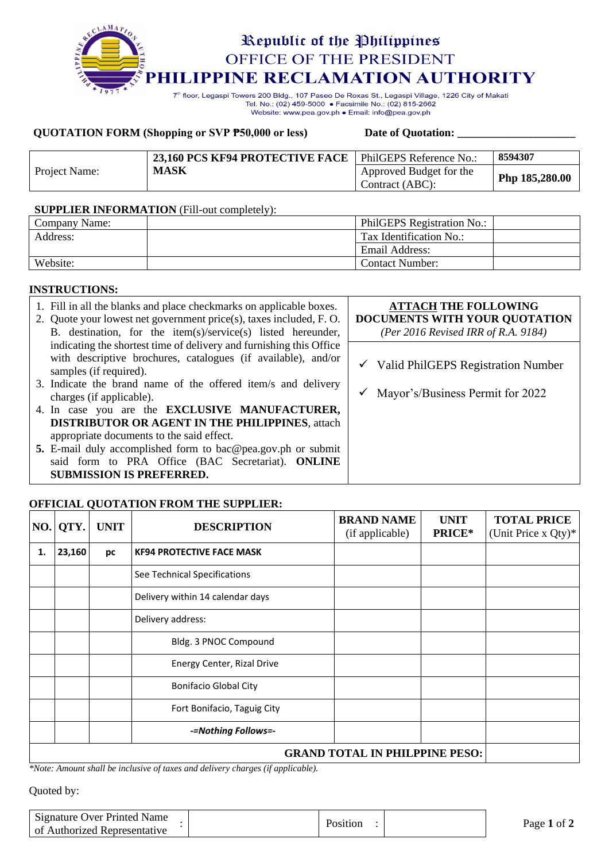

Tel. No.: (02) 459-5000 · Facsimile No.: (02) 815-2662 Website: www.pea.gov.ph . Email: info@pea.gov.ph

## **QUOTATION FORM** (Shopping or SVP **P50,000** or less) Date of Quotation:

|               | 23,160 PCS KF94 PROTECTIVE FACE | PhilGEPS Reference No.:                    | 8594307        |
|---------------|---------------------------------|--------------------------------------------|----------------|
| Project Name: | <b>MASK</b>                     | Approved Budget for the<br>Contract (ABC): | Php 185,280.00 |

## **SUPPLIER INFORMATION** (Fill-out completely):

| Company Name: | PhilGEPS Registration No.: |  |
|---------------|----------------------------|--|
| Address:      | Tax Identification No.:    |  |
|               | Email Address:             |  |
| Website:      | <b>Contact Number:</b>     |  |

# **INSTRUCTIONS:**

| 1. Fill in all the blanks and place checkmarks on applicable boxes.<br>2. Quote your lowest net government price(s), taxes included, F.O.<br>B. destination, for the item(s)/service(s) listed hereunder, | <b>ATTACH THE FOLLOWING</b><br>DOCUMENTS WITH YOUR QUOTATION<br>(Per 2016 Revised IRR of R.A. 9184) |
|-----------------------------------------------------------------------------------------------------------------------------------------------------------------------------------------------------------|-----------------------------------------------------------------------------------------------------|
| indicating the shortest time of delivery and furnishing this Office<br>with descriptive brochures, catalogues (if available), and/or<br>samples (if required).                                            | $\checkmark$ Valid PhilGEPS Registration Number                                                     |
| 3. Indicate the brand name of the offered item/s and delivery<br>charges (if applicable).                                                                                                                 | Mayor's/Business Permit for 2022                                                                    |
| 4. In case you are the <b>EXCLUSIVE MANUFACTURER</b> ,<br><b>DISTRIBUTOR OR AGENT IN THE PHILIPPINES, attach</b>                                                                                          |                                                                                                     |
| appropriate documents to the said effect.<br>5. E-mail duly accomplished form to bac@pea.gov.ph or submit<br>said form to PRA Office (BAC Secretariat). ONLINE                                            |                                                                                                     |
| <b>SUBMISSION IS PREFERRED.</b>                                                                                                                                                                           |                                                                                                     |

# **OFFICIAL QUOTATION FROM THE SUPPLIER:**

| NO. | QTY.                                  | <b>UNIT</b> | <b>DESCRIPTION</b>               | <b>BRAND NAME</b><br>(if applicable) | <b>UNIT</b><br>PRICE* | <b>TOTAL PRICE</b><br>(Unit Price x Qty)* |
|-----|---------------------------------------|-------------|----------------------------------|--------------------------------------|-----------------------|-------------------------------------------|
| 1.  | 23,160                                | рc          | <b>KF94 PROTECTIVE FACE MASK</b> |                                      |                       |                                           |
|     |                                       |             | See Technical Specifications     |                                      |                       |                                           |
|     |                                       |             | Delivery within 14 calendar days |                                      |                       |                                           |
|     |                                       |             | Delivery address:                |                                      |                       |                                           |
|     |                                       |             | Bldg. 3 PNOC Compound            |                                      |                       |                                           |
|     |                                       |             | Energy Center, Rizal Drive       |                                      |                       |                                           |
|     |                                       |             | <b>Bonifacio Global City</b>     |                                      |                       |                                           |
|     |                                       |             | Fort Bonifacio, Taguig City      |                                      |                       |                                           |
|     |                                       |             | -=Nothing Follows=-              |                                      |                       |                                           |
|     | <b>GRAND TOTAL IN PHILPPINE PESO:</b> |             |                                  |                                      |                       |                                           |

*\*Note: Amount shall be inclusive of taxes and delivery charges (if applicable).*

Quoted by:

| Signature Over Printed Name<br>of Authorized Representative | Position | Page 1 of $\angle$ |
|-------------------------------------------------------------|----------|--------------------|
|                                                             |          |                    |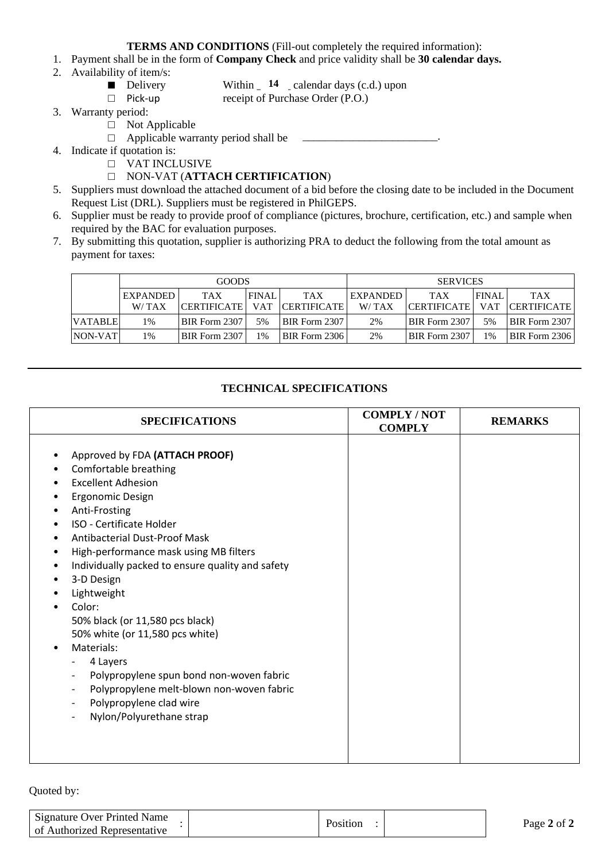**TERMS AND CONDITIONS** (Fill-out completely the required information):

- 1. Payment shall be in the form of **Company Check** and price validity shall be **30 calendar days.**
- 2. Availability of item/s:
	- Delivery

Within  $\frac{14}{14}$  calendar days (c.d.) upon receipt of Purchase Order (P.O.)

- □ Pick-up
- 3. Warranty period:
	- □ Not Applicable
	- □ Applicable warranty period shall be \_\_\_\_\_\_\_\_\_\_\_\_\_\_\_\_\_\_\_\_\_\_\_\_.
- 4. Indicate if quotation is:
	- □ VAT INCLUSIVE
	- □ NON-VAT (**ATTACH CERTIFICATION**)
- 5. Suppliers must download the attached document of a bid before the closing date to be included in the Document Request List (DRL). Suppliers must be registered in PhilGEPS.
- 6. Supplier must be ready to provide proof of compliance (pictures, brochure, certification, etc.) and sample when required by the BAC for evaluation purposes.
- 7. By submitting this quotation, supplier is authorizing PRA to deduct the following from the total amount as payment for taxes:

|                | GOODS           |                      |              | <b>SERVICES</b>      |                 |                    |              |                      |
|----------------|-----------------|----------------------|--------------|----------------------|-----------------|--------------------|--------------|----------------------|
|                | <b>EXPANDED</b> | <b>TAX</b>           | <b>FINAL</b> | <b>TAX</b>           | <b>EXPANDED</b> | <b>TAX</b>         | <b>FINAL</b> | <b>TAX</b>           |
|                | W/TAX           | <b>CERTIFICATE</b>   | <b>VAT</b>   | <b>CERTIFICATE</b>   | W/TAX           | <b>CERTIFICATE</b> | <b>VAT</b>   | <b>CERTIFICATE</b>   |
| <b>VATABLE</b> | 1%              | <b>BIR Form 2307</b> | 5%           | <b>BIR Form 2307</b> | 2%              | BIR Form 2307      | 5%           | <b>BIR Form 2307</b> |
| NON-VAT        | 1%              | <b>BIR Form 2307</b> | 1%           | <b>BIR Form 2306</b> | 2%              | BIR Form 2307      | 1%           | BIR Form 2306        |

# **TECHNICAL SPECIFICATIONS**

| <b>SPECIFICATIONS</b>                                                                                                                                                                                                                                                                                                                                                                                                                                                                                                                                                                                                                                                                                                                            | <b>COMPLY/NOT</b><br><b>COMPLY</b> | <b>REMARKS</b> |
|--------------------------------------------------------------------------------------------------------------------------------------------------------------------------------------------------------------------------------------------------------------------------------------------------------------------------------------------------------------------------------------------------------------------------------------------------------------------------------------------------------------------------------------------------------------------------------------------------------------------------------------------------------------------------------------------------------------------------------------------------|------------------------------------|----------------|
| Approved by FDA (ATTACH PROOF)<br>٠<br>Comfortable breathing<br>٠<br><b>Excellent Adhesion</b><br>٠<br><b>Ergonomic Design</b><br>٠<br>Anti-Frosting<br>٠<br><b>ISO - Certificate Holder</b><br>٠<br><b>Antibacterial Dust-Proof Mask</b><br>٠<br>High-performance mask using MB filters<br>٠<br>Individually packed to ensure quality and safety<br>$\bullet$<br>3-D Design<br>٠<br>Lightweight<br>٠<br>Color:<br>٠<br>50% black (or 11,580 pcs black)<br>50% white (or 11,580 pcs white)<br>Materials:<br>$\bullet$<br>4 Layers<br>Polypropylene spun bond non-woven fabric<br>$-$<br>Polypropylene melt-blown non-woven fabric<br>$\overline{\phantom{a}}$<br>Polypropylene clad wire<br>$\overline{\phantom{a}}$<br>Nylon/Polyurethane strap |                                    |                |

Quoted by:

| Signature Over Printed Name<br>of Authorized Representative | Position | Page 2 of 2 |
|-------------------------------------------------------------|----------|-------------|
|                                                             |          |             |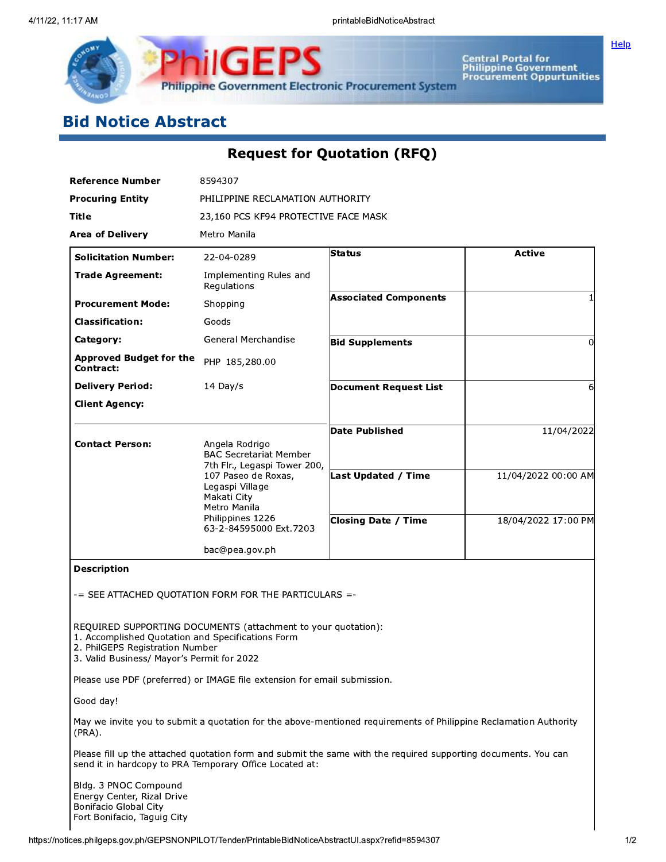

Central Portal for<br>Philippine Government<br>Procurement Oppurtunities

Help

# **Bid Notice Abstract**

# **Request for Quotation (RFQ)**

| <b>Reference Number</b>                                                                                                            | 8594307                                                                                               |                                                                                                                  |                     |  |  |
|------------------------------------------------------------------------------------------------------------------------------------|-------------------------------------------------------------------------------------------------------|------------------------------------------------------------------------------------------------------------------|---------------------|--|--|
| <b>Procuring Entity</b>                                                                                                            | PHILIPPINE RECLAMATION AUTHORITY                                                                      |                                                                                                                  |                     |  |  |
| Title                                                                                                                              | 23,160 PCS KF94 PROTECTIVE FACE MASK                                                                  |                                                                                                                  |                     |  |  |
| <b>Area of Delivery</b>                                                                                                            | Metro Manila                                                                                          |                                                                                                                  |                     |  |  |
| <b>Solicitation Number:</b>                                                                                                        | 22-04-0289                                                                                            | Status                                                                                                           | <b>Active</b>       |  |  |
| <b>Trade Agreement:</b>                                                                                                            | Implementing Rules and<br>Regulations                                                                 |                                                                                                                  |                     |  |  |
| <b>Procurement Mode:</b>                                                                                                           | Shopping                                                                                              | <b>Associated Components</b>                                                                                     |                     |  |  |
| <b>Classification:</b>                                                                                                             | Goods                                                                                                 |                                                                                                                  |                     |  |  |
| Category:                                                                                                                          | General Merchandise                                                                                   | <b>Bid Supplements</b>                                                                                           | 0                   |  |  |
| <b>Approved Budget for the</b><br>Contract:                                                                                        | PHP 185,280.00                                                                                        |                                                                                                                  |                     |  |  |
| <b>Delivery Period:</b>                                                                                                            | $14$ Day/s                                                                                            | <b>Document Request List</b>                                                                                     | 6                   |  |  |
| <b>Client Agency:</b>                                                                                                              |                                                                                                       |                                                                                                                  |                     |  |  |
| <b>Contact Person:</b>                                                                                                             | Angela Rodrigo<br><b>BAC Secretariat Member</b>                                                       | <b>Date Published</b>                                                                                            | 11/04/2022          |  |  |
|                                                                                                                                    | 7th Flr., Legaspi Tower 200,<br>107 Paseo de Roxas,<br>Legaspi Village<br>Makati City<br>Metro Manila | Last Updated / Time                                                                                              | 11/04/2022 00:00 AM |  |  |
|                                                                                                                                    | Philippines 1226<br>63-2-84595000 Ext.7203                                                            | <b>Closing Date / Time</b>                                                                                       | 18/04/2022 17:00 PM |  |  |
|                                                                                                                                    | bac@pea.gov.ph                                                                                        |                                                                                                                  |                     |  |  |
| <b>Description</b>                                                                                                                 | -= SEE ATTACHED QUOTATION FORM FOR THE PARTICULARS =-                                                 |                                                                                                                  |                     |  |  |
| 1. Accomplished Quotation and Specifications Form<br>2. PhilGEPS Registration Number<br>3. Valid Business/ Mayor's Permit for 2022 | REOUIRED SUPPORTING DOCUMENTS (attachment to your quotation):                                         |                                                                                                                  |                     |  |  |
|                                                                                                                                    | Please use PDF (preferred) or IMAGE file extension for email submission.                              |                                                                                                                  |                     |  |  |
| Good day!                                                                                                                          |                                                                                                       |                                                                                                                  |                     |  |  |
| $(PRA)$ .                                                                                                                          |                                                                                                       | May we invite you to submit a quotation for the above-mentioned requirements of Philippine Reclamation Authority |                     |  |  |
| send it in hardcopy to PRA Temporary Office Located at:                                                                            |                                                                                                       | Please fill up the attached quotation form and submit the same with the required supporting documents. You can   |                     |  |  |
| Bldg. 3 PNOC Compound                                                                                                              |                                                                                                       |                                                                                                                  |                     |  |  |